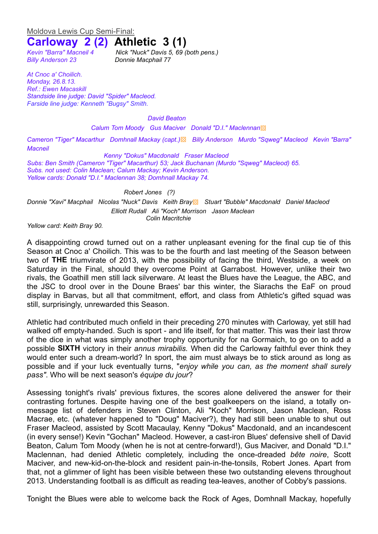## Moldova Lewis Cup Semi-Final:

# **Carloway 2 (2) Athletic 3 (1)**

*Billy Anderson 23 Donnie Macphail 77*

*Kevin "Barra" Macneil 4 Nick "Nuck" Davis 5, 69 (both pens.)*

*At Cnoc a' Choilich. Monday, 26.8.13. Ref.: Ewen Macaskill Standside line judge: David "Spider" Macleod. Farside line judge: Kenneth "Bugsy" Smith.*

#### *David Beaton*

*Calum Tom Moody Gus Maciver Donald "D.I." Maclennan*▩

*Cameron "Tiger" Macarthur Domhnall Mackay (capt.)*▩ *Billy Anderson Murdo "Sqweg" Macleod Kevin "Barra" Macneil*

*Kenny "Dokus" Macdonald Fraser Macleod Subs: Ben Smith (Cameron "Tiger" Macarthur) 53; Jack Buchanan (Murdo "Sqweg" Macleod) 65. Subs. not used: Colin Maclean; Calum Mackay; Kevin Anderson. Yellow cards: Donald "D.I." Maclennan 38; Domhnall Mackay 74.*

### *Robert Jones (?)*

*Donnie "Xavi" Macphail Nicolas "Nuck" Davis Keith Bray*▩ *Stuart "Bubble" Macdonald Daniel Macleod Elliott Rudall Ali "Koch" Morrison Jason Maclean Colin Macritchie*

*Yellow card: Keith Bray 90.*

A disappointing crowd turned out on a rather unpleasant evening for the final cup tie of this Season at Cnoc a' Choilich. This was to be the fourth and last meeting of the Season between two of **THE** triumvirate of 2013, with the possibility of facing the third, Westside, a week on Saturday in the Final, should they overcome Point at Garrabost. However, unlike their two rivals, the Goathill men still lack silverware. At least the Blues have the League, the ABC, and the JSC to drool over in the Doune Braes' bar this winter, the Siarachs the EaF on proud display in Barvas, but all that commitment, effort, and class from Athletic's gifted squad was still, surprisingly, unrewarded this Season.

Athletic had contributed much onfield in their preceding 270 minutes with Carloway, yet still had walked off empty-handed. Such is sport - and life itself, for that matter. This was their last throw of the dice in what was simply another trophy opportunity for na Gormaich, to go on to add a possible **SIXTH** victory in their *annus mirabilis.* When did the Carloway faithful ever think they would enter such a dream-world? In sport, the aim must always be to stick around as long as possible and if your luck eventually turns, "*enjoy while you can, as the moment shall surely pass"*. Who will be next season's *équipe du jour*?

Assessing tonight's rivals' previous fixtures, the scores alone delivered the answer for their contrasting fortunes. Despite having one of the best goalkeepers on the island, a totally onmessage list of defenders in Steven Clinton, Ali "Koch" Morrison, Jason Maclean, Ross Macrae, etc. (whatever happened to "Doug" Maciver?), they had still been unable to shut out Fraser Macleod, assisted by Scott Macaulay, Kenny "Dokus" Macdonald, and an incandescent (in every sense!) Kevin "Gochan" Macleod. However, a cast-iron Blues' defensive shell of David Beaton, Calum Tom Moody (when he is not at centre-forward!), Gus Maciver, and Donald "D.I." Maclennan, had denied Athletic completely, including the once-dreaded *bête noire*, Scott Maciver, and new-kid-on-the-block and resident pain-in-the-tonsils, Robert Jones. Apart from that, not a glimmer of light has been visible between these two outstanding elevens throughout 2013. Understanding football is as difficult as reading tea-leaves, another of Cobby's passions.

Tonight the Blues were able to welcome back the Rock of Ages, Domhnall Mackay, hopefully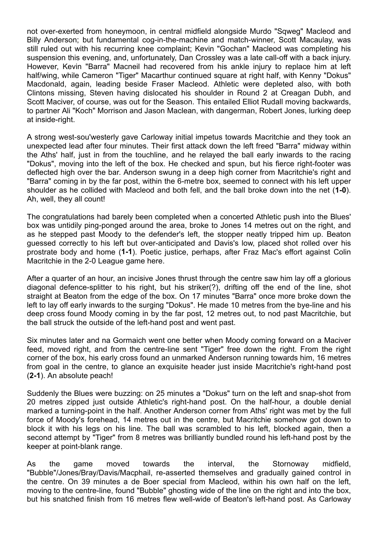not over-exerted from honeymoon, in central midfield alongside Murdo "Sqweg" Macleod and Billy Anderson; but fundamental cog-in-the-machine and match-winner, Scott Macaulay, was still ruled out with his recurring knee complaint; Kevin "Gochan" Macleod was completing his suspension this evening, and, unfortunately, Dan Crossley was a late call-off with a back injury. However, Kevin "Barra" Macneil had recovered from his ankle injury to replace him at left half/wing, while Cameron "Tiger" Macarthur continued square at right half, with Kenny "Dokus" Macdonald, again, leading beside Fraser Macleod. Athletic were depleted also, with both Clintons missing, Steven having dislocated his shoulder in Round 2 at Creagan Dubh, and Scott Maciver, of course, was out for the Season. This entailed Elliot Rudall moving backwards, to partner Ali "Koch" Morrison and Jason Maclean, with dangerman, Robert Jones, lurking deep at inside-right.

A strong west-sou'westerly gave Carloway initial impetus towards Macritchie and they took an unexpected lead after four minutes. Their first attack down the left freed "Barra" midway within the Aths' half, just in from the touchline, and he relayed the ball early inwards to the racing "Dokus", moving into the left of the box. He checked and spun, but his fierce right-footer was deflected high over the bar. Anderson swung in a deep high corner from Macritchie's right and "Barra" coming in by the far post, within the 6-metre box, seemed to connect with his left upper shoulder as he collided with Macleod and both fell, and the ball broke down into the net (**1-0**). Ah, well, they all count!

The congratulations had barely been completed when a concerted Athletic push into the Blues' box was untidily ping-ponged around the area, broke to Jones 14 metres out on the right, and as he stepped past Moody to the defender's left, the stopper neatly tripped him up. Beaton guessed correctly to his left but over-anticipated and Davis's low, placed shot rolled over his prostrate body and home (**1-1**). Poetic justice, perhaps, after Fraz Mac's effort against Colin Macritchie in the 2-0 League game here.

After a quarter of an hour, an incisive Jones thrust through the centre saw him lay off a glorious diagonal defence-splitter to his right, but his striker(?), drifting off the end of the line, shot straight at Beaton from the edge of the box. On 17 minutes "Barra" once more broke down the left to lay off early inwards to the surging "Dokus". He made 10 metres from the bye-line and his deep cross found Moody coming in by the far post, 12 metres out, to nod past Macritchie, but the ball struck the outside of the left-hand post and went past.

Six minutes later and na Gormaich went one better when Moody coming forward on a Maciver feed, moved right, and from the centre-line sent "Tiger" free down the right. From the right corner of the box, his early cross found an unmarked Anderson running towards him, 16 metres from goal in the centre, to glance an exquisite header just inside Macritchie's right-hand post (**2-1**). An absolute peach!

Suddenly the Blues were buzzing: on 25 minutes a "Dokus" turn on the left and snap-shot from 20 metres zipped just outside Athletic's right-hand post. On the half-hour, a double denial marked a turning-point in the half. Another Anderson corner from Aths' right was met by the full force of Moody's forehead, 14 metres out in the centre, but Macritchie somehow got down to block it with his legs on his line. The ball was scrambled to his left, blocked again, then a second attempt by "Tiger" from 8 metres was brilliantly bundled round his left-hand post by the keeper at point-blank range.

As the game moved towards the interval, the Stornoway midfield, "Bubble"/Jones/Bray/Davis/Macphail, re-asserted themselves and gradually gained control in the centre. On 39 minutes a de Boer special from Macleod, within his own half on the left, moving to the centre-line, found "Bubble" ghosting wide of the line on the right and into the box, but his snatched finish from 16 metres flew well-wide of Beaton's left-hand post. As Carloway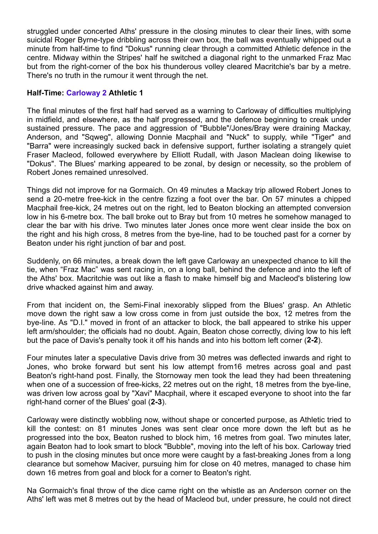struggled under concerted Aths' pressure in the closing minutes to clear their lines, with some suicidal Roger Byrne-type dribbling across their own box, the ball was eventually whipped out a minute from half-time to find "Dokus" running clear through a committed Athletic defence in the centre. Midway within the Stripes' half he switched a diagonal right to the unmarked Fraz Mac but from the right-corner of the box his thunderous volley cleared Macritchie's bar by a metre. There's no truth in the rumour it went through the net.

## **Half-Time: Carloway 2 Athletic 1**

The final minutes of the first half had served as a warning to Carloway of difficulties multiplying in midfield, and elsewhere, as the half progressed, and the defence beginning to creak under sustained pressure. The pace and aggression of "Bubble"/Jones/Bray were draining Mackay, Anderson, and "Sqweg", allowing Donnie Macphail and "Nuck" to supply, while "Tiger" and "Barra" were increasingly sucked back in defensive support, further isolating a strangely quiet Fraser Macleod, followed everywhere by Elliott Rudall, with Jason Maclean doing likewise to "Dokus". The Blues' marking appeared to be zonal, by design or necessity, so the problem of Robert Jones remained unresolved.

Things did not improve for na Gormaich. On 49 minutes a Mackay trip allowed Robert Jones to send a 20-metre free-kick in the centre fizzing a foot over the bar. On 57 minutes a chipped Macphail free-kick, 24 metres out on the right, led to Beaton blocking an attempted conversion low in his 6-metre box. The ball broke out to Bray but from 10 metres he somehow managed to clear the bar with his drive. Two minutes later Jones once more went clear inside the box on the right and his high cross, 8 metres from the bye-line, had to be touched past for a corner by Beaton under his right junction of bar and post.

Suddenly, on 66 minutes, a break down the left gave Carloway an unexpected chance to kill the tie, when "Fraz Mac" was sent racing in, on a long ball, behind the defence and into the left of the Aths' box. Macritchie was out like a flash to make himself big and Macleod's blistering low drive whacked against him and away.

From that incident on, the Semi-Final inexorably slipped from the Blues' grasp. An Athletic move down the right saw a low cross come in from just outside the box, 12 metres from the bye-line. As "D.I." moved in front of an attacker to block, the ball appeared to strike his upper left arm/shoulder; the officials had no doubt. Again, Beaton chose correctly, diving low to his left but the pace of Davis's penalty took it off his hands and into his bottom left corner (**2-2**).

Four minutes later a speculative Davis drive from 30 metres was deflected inwards and right to Jones, who broke forward but sent his low attempt from16 metres across goal and past Beaton's right-hand post. Finally, the Stornoway men took the lead they had been threatening when one of a succession of free-kicks, 22 metres out on the right, 18 metres from the bye-line, was driven low across goal by "Xavi" Macphail, where it escaped everyone to shoot into the far right-hand corner of the Blues' goal (**2-3**).

Carloway were distinctly wobbling now, without shape or concerted purpose, as Athletic tried to kill the contest: on 81 minutes Jones was sent clear once more down the left but as he progressed into the box, Beaton rushed to block him, 16 metres from goal. Two minutes later, again Beaton had to look smart to block "Bubble", moving into the left of his box. Carloway tried to push in the closing minutes but once more were caught by a fast-breaking Jones from a long clearance but somehow Maciver, pursuing him for close on 40 metres, managed to chase him down 16 metres from goal and block for a corner to Beaton's right.

Na Gormaich's final throw of the dice came right on the whistle as an Anderson corner on the Aths' left was met 8 metres out by the head of Macleod but, under pressure, he could not direct